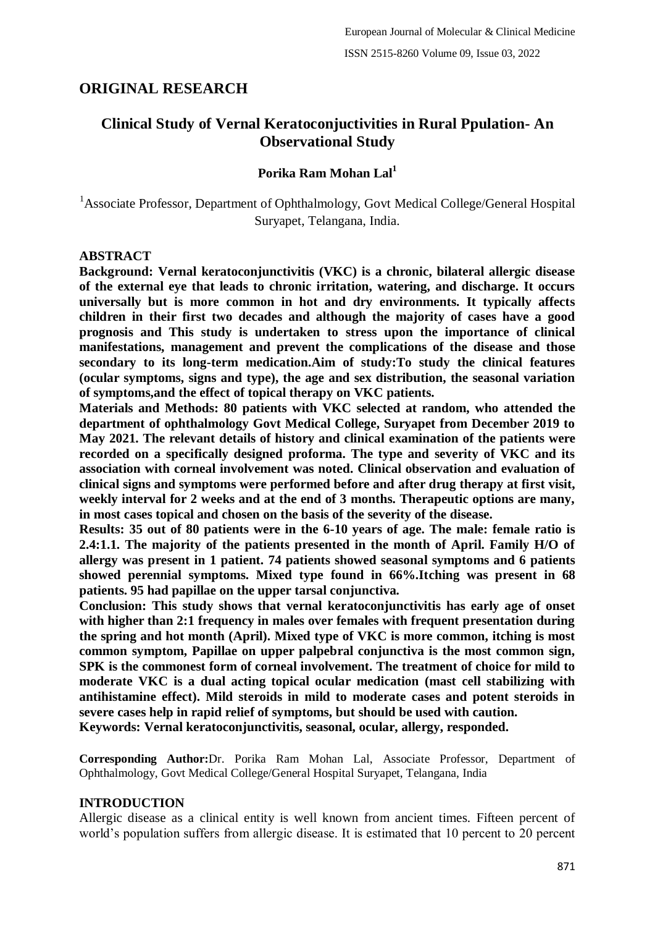# **ORIGINAL RESEARCH**

# **Clinical Study of Vernal Keratoconjuctivities in Rural Ppulation- An Observational Study**

## **Porika Ram Mohan Lal<sup>1</sup>**

<sup>1</sup>Associate Professor, Department of Ophthalmology, Govt Medical College/General Hospital Suryapet, Telangana, India.

### **ABSTRACT**

**Background: Vernal keratoconjunctivitis (VKC) is a chronic, bilateral allergic disease of the external eye that leads to chronic irritation, watering, and discharge. It occurs universally but is more common in hot and dry environments. It typically affects children in their first two decades and although the majority of cases have a good prognosis and This study is undertaken to stress upon the importance of clinical manifestations, management and prevent the complications of the disease and those secondary to its long-term medication.Aim of study:To study the clinical features (ocular symptoms, signs and type), the age and sex distribution, the seasonal variation of symptoms,and the effect of topical therapy on VKC patients.**

**Materials and Methods: 80 patients with VKC selected at random, who attended the department of ophthalmology Govt Medical College, Suryapet from December 2019 to May 2021. The relevant details of history and clinical examination of the patients were recorded on a specifically designed proforma. The type and severity of VKC and its association with corneal involvement was noted. Clinical observation and evaluation of clinical signs and symptoms were performed before and after drug therapy at first visit, weekly interval for 2 weeks and at the end of 3 months. Therapeutic options are many, in most cases topical and chosen on the basis of the severity of the disease.**

**Results: 35 out of 80 patients were in the 6-10 years of age. The male: female ratio is 2.4:1.1. The majority of the patients presented in the month of April. Family H/O of allergy was present in 1 patient. 74 patients showed seasonal symptoms and 6 patients showed perennial symptoms. Mixed type found in 66%.Itching was present in 68 patients. 95 had papillae on the upper tarsal conjunctiva.**

**Conclusion: This study shows that vernal keratoconjunctivitis has early age of onset**  with higher than 2:1 frequency in males over females with frequent presentation during **the spring and hot month (April). Mixed type of VKC is more common, itching is most common symptom, Papillae on upper palpebral conjunctiva is the most common sign, SPK is the commonest form of corneal involvement. The treatment of choice for mild to moderate VKC is a dual acting topical ocular medication (mast cell stabilizing with antihistamine effect). Mild steroids in mild to moderate cases and potent steroids in severe cases help in rapid relief of symptoms, but should be used with caution. Keywords: Vernal keratoconjunctivitis, seasonal, ocular, allergy, responded.**

**Corresponding Author:**Dr. Porika Ram Mohan Lal, Associate Professor, Department of Ophthalmology, Govt Medical College/General Hospital Suryapet, Telangana, India

## **INTRODUCTION**

Allergic disease as a clinical entity is well known from ancient times. Fifteen percent of world"s population suffers from allergic disease. It is estimated that 10 percent to 20 percent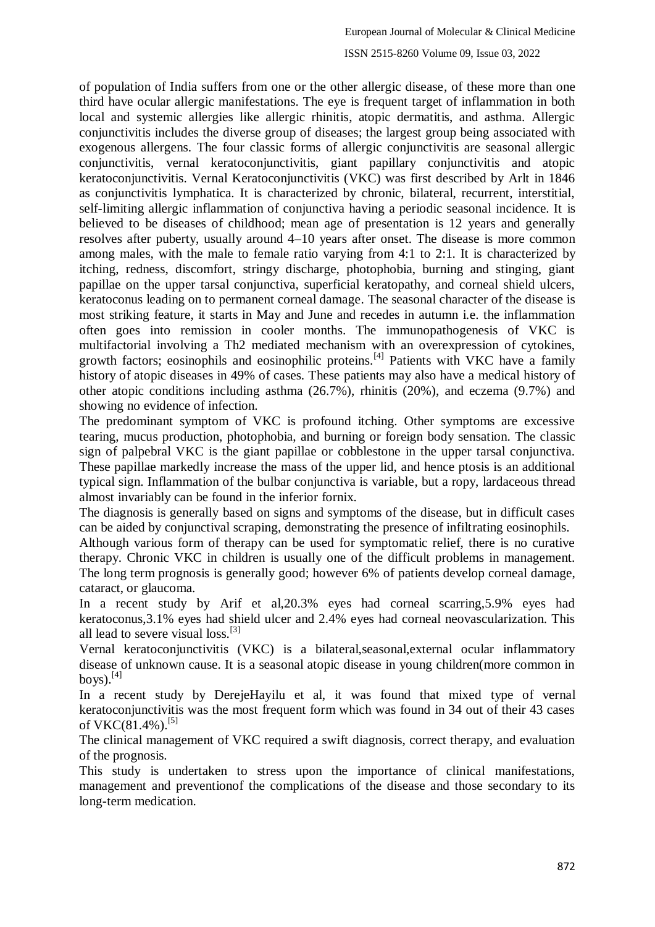of population of India suffers from one or the other allergic disease, of these more than one third have ocular allergic manifestations. The eye is frequent target of inflammation in both local and systemic allergies like allergic rhinitis, atopic dermatitis, and asthma. Allergic conjunctivitis includes the diverse group of diseases; the largest group being associated with exogenous allergens. The four classic forms of allergic conjunctivitis are seasonal allergic conjunctivitis, vernal keratoconjunctivitis, giant papillary conjunctivitis and atopic keratoconjunctivitis. Vernal Keratoconjunctivitis (VKC) was first described by Arlt in 1846 as conjunctivitis lymphatica. It is characterized by chronic, bilateral, recurrent, interstitial, self-limiting allergic inflammation of conjunctiva having a periodic seasonal incidence. It is believed to be diseases of childhood; mean age of presentation is 12 years and generally resolves after puberty, usually around 4–10 years after onset. The disease is more common among males, with the male to female ratio varying from 4:1 to 2:1. It is characterized by itching, redness, discomfort, stringy discharge, photophobia, burning and stinging, giant papillae on the upper tarsal conjunctiva, superficial keratopathy, and corneal shield ulcers, keratoconus leading on to permanent corneal damage. The seasonal character of the disease is most striking feature, it starts in May and June and recedes in autumn i.e. the inflammation often goes into remission in cooler months. The immunopathogenesis of VKC is multifactorial involving a Th2 mediated mechanism with an overexpression of cytokines, growth factors; eosinophils and eosinophilic proteins.[4] Patients with VKC have a family history of atopic diseases in 49% of cases. These patients may also have a medical history of other atopic conditions including asthma (26.7%), rhinitis (20%), and eczema (9.7%) and showing no evidence of infection.

The predominant symptom of VKC is profound itching. Other symptoms are excessive tearing, mucus production, photophobia, and burning or foreign body sensation. The classic sign of palpebral VKC is the giant papillae or cobblestone in the upper tarsal conjunctiva. These papillae markedly increase the mass of the upper lid, and hence ptosis is an additional typical sign. Inflammation of the bulbar conjunctiva is variable, but a ropy, lardaceous thread almost invariably can be found in the inferior fornix.

The diagnosis is generally based on signs and symptoms of the disease, but in difficult cases can be aided by conjunctival scraping, demonstrating the presence of infiltrating eosinophils.

Although various form of therapy can be used for symptomatic relief, there is no curative therapy. Chronic VKC in children is usually one of the difficult problems in management. The long term prognosis is generally good; however 6% of patients develop corneal damage, cataract, or glaucoma.

In a recent study by Arif et al,20.3% eyes had corneal scarring,5.9% eyes had keratoconus,3.1% eyes had shield ulcer and 2.4% eyes had corneal neovascularization. This all lead to severe visual loss.<sup>[3]</sup>

Vernal keratoconjunctivitis (VKC) is a bilateral,seasonal,external ocular inflammatory disease of unknown cause. It is a seasonal atopic disease in young children(more common in boys). $^{[4]}$ 

In a recent study by DerejeHayilu et al, it was found that mixed type of vernal keratoconjunctivitis was the most frequent form which was found in 34 out of their 43 cases of VKC $(81.4\%)$ .<sup>[5]</sup>

The clinical management of VKC required a swift diagnosis, correct therapy, and evaluation of the prognosis.

This study is undertaken to stress upon the importance of clinical manifestations, management and preventionof the complications of the disease and those secondary to its long-term medication.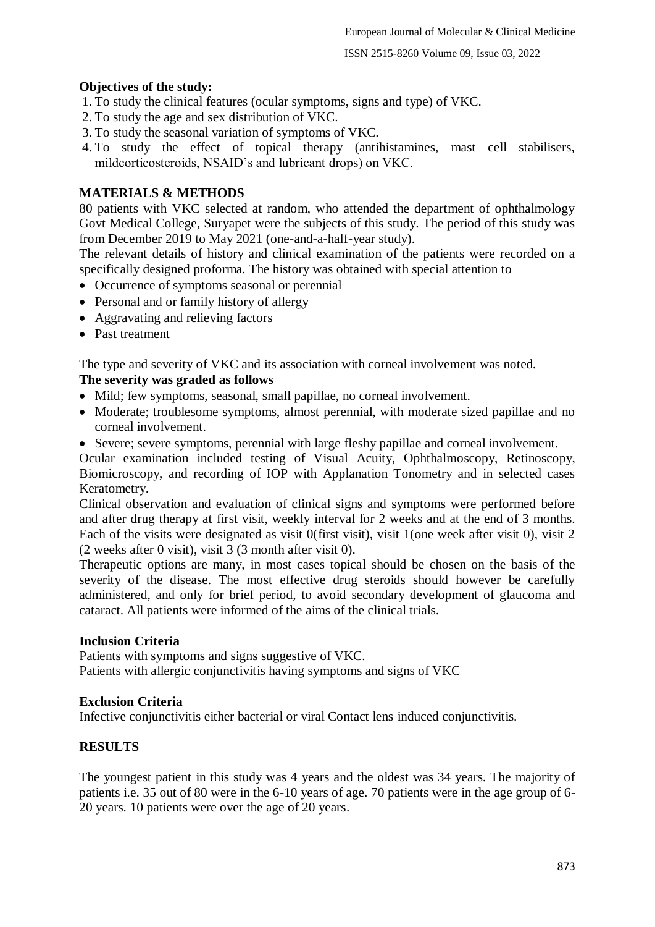### **Objectives of the study:**

- 1. To study the clinical features (ocular symptoms, signs and type) of VKC.
- 2. To study the age and sex distribution of VKC.
- 3. To study the seasonal variation of symptoms of VKC.
- 4. To study the effect of topical therapy (antihistamines, mast cell stabilisers, mildcorticosteroids, NSAID"s and lubricant drops) on VKC.

### **MATERIALS & METHODS**

80 patients with VKC selected at random, who attended the department of ophthalmology Govt Medical College, Suryapet were the subjects of this study. The period of this study was from December 2019 to May 2021 (one-and-a-half-year study).

The relevant details of history and clinical examination of the patients were recorded on a specifically designed proforma. The history was obtained with special attention to

- Occurrence of symptoms seasonal or perennial
- Personal and or family history of allergy
- Aggravating and relieving factors
- Past treatment

The type and severity of VKC and its association with corneal involvement was noted.

### **The severity was graded as follows**

- Mild; few symptoms, seasonal, small papillae, no corneal involvement.
- Moderate; troublesome symptoms, almost perennial, with moderate sized papillae and no corneal involvement.
- Severe; severe symptoms, perennial with large fleshy papillae and corneal involvement.

Ocular examination included testing of Visual Acuity, Ophthalmoscopy, Retinoscopy, Biomicroscopy, and recording of IOP with Applanation Tonometry and in selected cases Keratometry.

Clinical observation and evaluation of clinical signs and symptoms were performed before and after drug therapy at first visit, weekly interval for 2 weeks and at the end of 3 months. Each of the visits were designated as visit 0(first visit), visit 1(one week after visit 0), visit 2 (2 weeks after 0 visit), visit 3 (3 month after visit 0).

Therapeutic options are many, in most cases topical should be chosen on the basis of the severity of the disease. The most effective drug steroids should however be carefully administered, and only for brief period, to avoid secondary development of glaucoma and cataract. All patients were informed of the aims of the clinical trials.

#### **Inclusion Criteria**

Patients with symptoms and signs suggestive of VKC. Patients with allergic conjunctivitis having symptoms and signs of VKC

### **Exclusion Criteria**

Infective conjunctivitis either bacterial or viral Contact lens induced conjunctivitis.

### **RESULTS**

The youngest patient in this study was 4 years and the oldest was 34 years. The majority of patients i.e. 35 out of 80 were in the 6-10 years of age. 70 patients were in the age group of 6- 20 years. 10 patients were over the age of 20 years.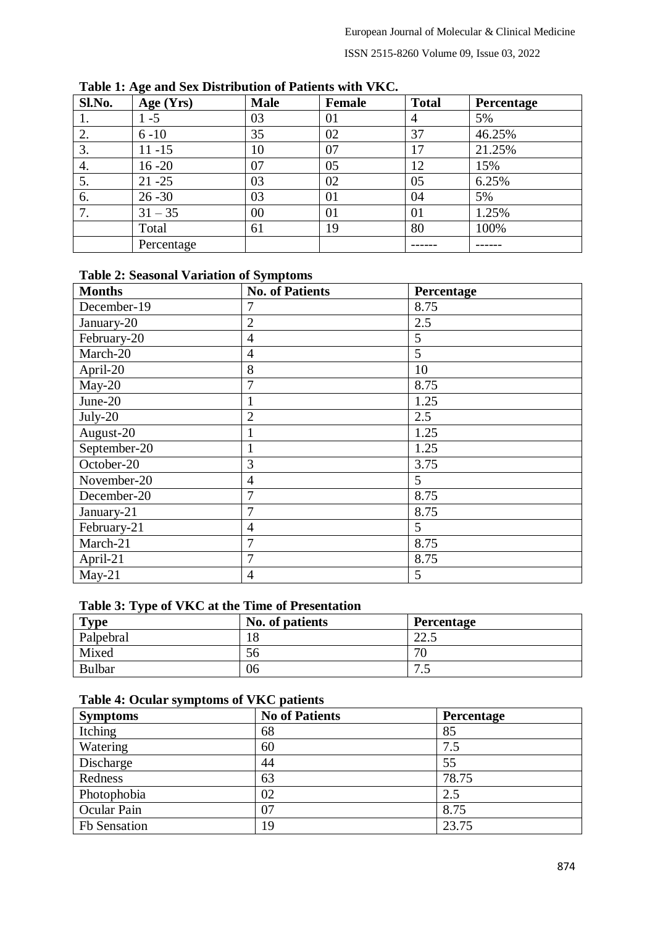ISSN 2515-8260 Volume 09, Issue 03, 2022

| Sl.No. | ັ<br>Age (Yrs) | <b>Male</b> | Female | <b>Total</b>   | Percentage |
|--------|----------------|-------------|--------|----------------|------------|
| 1.     | $1 - 5$        | 03          | 01     | $\overline{4}$ | 5%         |
| 2.     | $6 - 10$       | 35          | 02     | 37             | 46.25%     |
| 3.     | $11 - 15$      | 10          | 07     |                | 21.25%     |
| 4.     | $16 - 20$      | 07          | 05     | 12             | 15%        |
| 5.     | $21 - 25$      | 03          | 02     | 05             | 6.25%      |
| 6.     | $26 - 30$      | 03          | 01     | 04             | 5%         |
| 7.     | $31 - 35$      | 00          | 01     | 01             | 1.25%      |
|        | Total          | 61          | 19     | 80             | 100%       |
|        | Percentage     |             |        |                |            |

**Table 1: Age and Sex Distribution of Patients with VKC.**

# **Table 2: Seasonal Variation of Symptoms**

| <b>Months</b> | <b>No. of Patients</b> | Percentage |
|---------------|------------------------|------------|
| December-19   |                        | 8.75       |
| January-20    | $\overline{2}$         | 2.5        |
| February-20   | $\overline{4}$         | 5          |
| March-20      | $\overline{4}$         | 5          |
| April-20      | 8                      | 10         |
| $May-20$      | 7                      | 8.75       |
| June-20       |                        | 1.25       |
| $July-20$     | $\overline{2}$         | 2.5        |
| August-20     |                        | 1.25       |
| September-20  | 1                      | 1.25       |
| October-20    | 3                      | 3.75       |
| November-20   | 4                      | 5          |
| December-20   | 7                      | 8.75       |
| January-21    | 7                      | 8.75       |
| February-21   | 4                      | 5          |
| March-21      | 7                      | 8.75       |
| April-21      | 7                      | 8.75       |
| $May-21$      | 4                      | 5          |

# **Table 3: Type of VKC at the Time of Presentation**

| <b>Type</b> | No. of patients | <b>Percentage</b>  |
|-------------|-----------------|--------------------|
| Palpebral   | 18              | $\cap$<br>ن . که ک |
| Mixed       | 56              | 70<br>'U           |
| Bulbar      | 06              | −<br>ن.            |

### **Table 4: Ocular symptoms of VKC patients**

| <b>Symptoms</b> | <b>No of Patients</b> | <b>Percentage</b> |
|-----------------|-----------------------|-------------------|
| Itching         | 68                    | 85                |
| Watering        | 60                    | 7.5               |
| Discharge       | 44                    | 55                |
| Redness         | 63                    | 78.75             |
| Photophobia     | 02                    | 2.5               |
| Ocular Pain     | 07                    | 8.75              |
| Fb Sensation    | 19                    | 23.75             |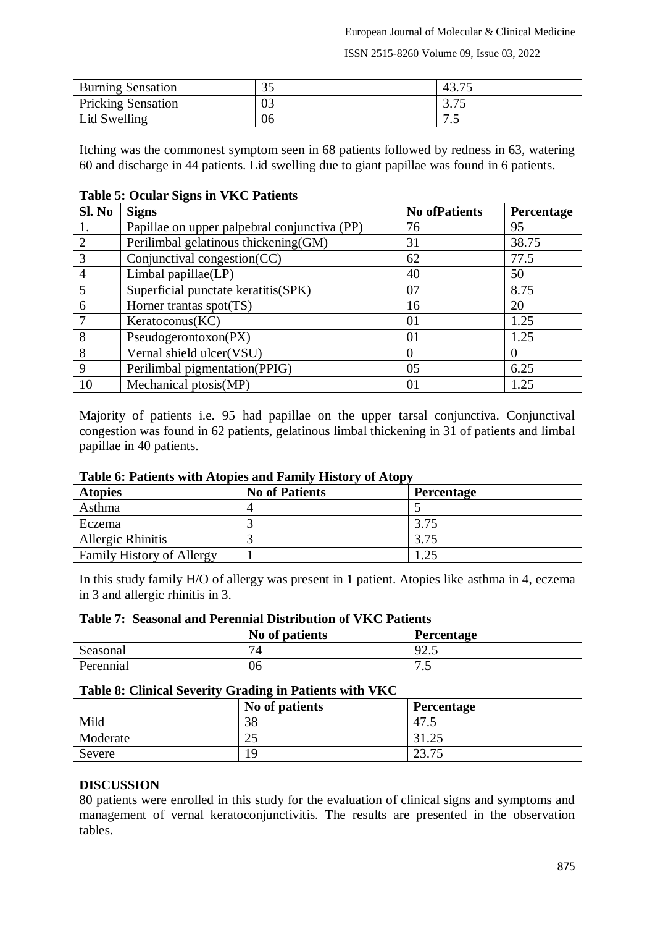ISSN 2515-8260 Volume 09, Issue 03, 2022

| <b>Burning Sensation</b>  | ⌒ 冖<br>ں ر | $\overline{\phantom{m}}$<br>43.1. |
|---------------------------|------------|-----------------------------------|
| <b>Pricking Sensation</b> | 03         | $\cap$ $\pi$<br>ر ، ، ب           |
| Lid Swelling              | 06         | −<br>. .                          |

Itching was the commonest symptom seen in 68 patients followed by redness in 63, watering 60 and discharge in 44 patients. Lid swelling due to giant papillae was found in 6 patients.

| Sl. No         | <b>Signs</b>                                 | <b>No ofPatients</b> | Percentage |
|----------------|----------------------------------------------|----------------------|------------|
| 1.             | Papillae on upper palpebral conjunctiva (PP) | 76                   | 95         |
| 2              | Perilimbal gelatinous thickening(GM)         | 31                   | 38.75      |
| 3              | Conjunctival congestion(CC)                  | 62                   | 77.5       |
| $\overline{4}$ | Limbal papillae(LP)                          | 40                   | 50         |
| 5              | Superficial punctate keratitis(SPK)          | 07                   | 8.75       |
| 6              | Horner trantas spot(TS)                      | 16                   | 20         |
| 7              | Keratocomus(KC)                              | 01                   | 1.25       |
| 8              | Pseudogerontoxon(PX)                         | 01                   | 1.25       |
| 8              | Vernal shield ulcer(VSU)                     | $\theta$             | $\theta$   |
| 9              | Perilimbal pigmentation(PPIG)                | 05                   | 6.25       |
| 10             | Mechanical ptosis(MP)                        | 01                   | 1.25       |

### **Table 5: Ocular Signs in VKC Patients**

Majority of patients i.e. 95 had papillae on the upper tarsal conjunctiva. Conjunctival congestion was found in 62 patients, gelatinous limbal thickening in 31 of patients and limbal papillae in 40 patients.

## **Table 6: Patients with Atopies and Family History of Atopy**

| <b>Atopies</b>                   | <b>No of Patients</b> | <b>Percentage</b> |
|----------------------------------|-----------------------|-------------------|
| Asthma                           |                       |                   |
| Eczema                           |                       | 3.75              |
| Allergic Rhinitis                |                       | 3.75              |
| <b>Family History of Allergy</b> |                       |                   |

In this study family H/O of allergy was present in 1 patient. Atopies like asthma in 4, eczema in 3 and allergic rhinitis in 3.

### **Table 7: Seasonal and Perennial Distribution of VKC Patients**

|           | No of patients | Percentage |
|-----------|----------------|------------|
| Seasonal  | 71             | 92.5       |
| Perennial | 06             | –<br>ن -   |

#### **Table 8: Clinical Severity Grading in Patients with VKC**

|          | No of patients | <b>Percentage</b>      |
|----------|----------------|------------------------|
| Mild     | 38             | 47.5                   |
| Moderate | ر∠             | ن که د ل               |
| Severe   | 19             | $2^{\circ}$<br>ل ا د ب |

### **DISCUSSION**

80 patients were enrolled in this study for the evaluation of clinical signs and symptoms and management of vernal keratoconjunctivitis. The results are presented in the observation tables.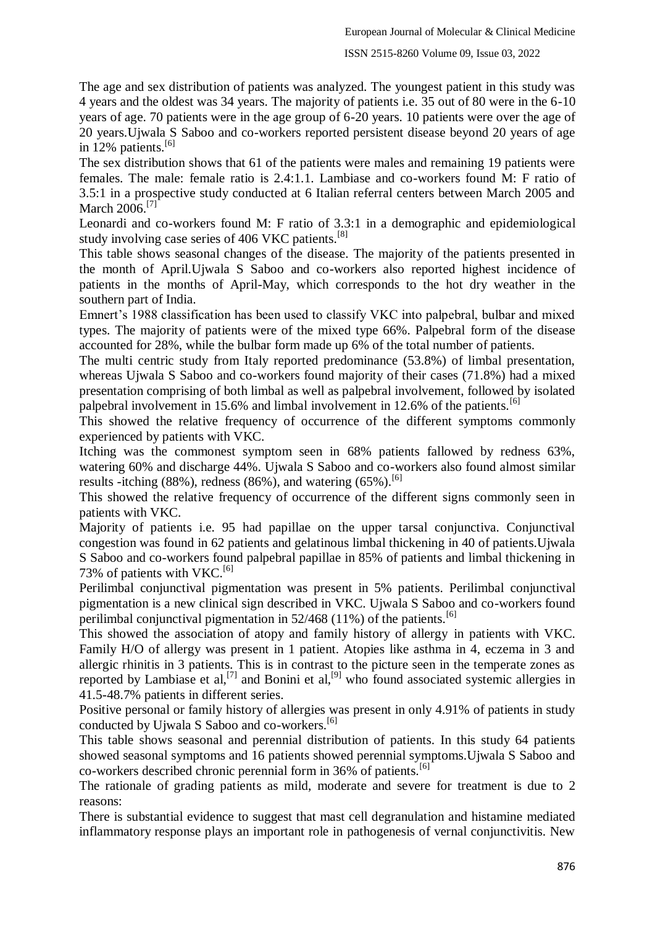#### ISSN 2515-8260 Volume 09, Issue 03, 2022

The age and sex distribution of patients was analyzed. The youngest patient in this study was 4 years and the oldest was 34 years. The majority of patients i.e. 35 out of 80 were in the 6-10 years of age. 70 patients were in the age group of 6-20 years. 10 patients were over the age of 20 years.Ujwala S Saboo and co-workers reported persistent disease beyond 20 years of age in 12% patients.<sup>[6]</sup>

The sex distribution shows that 61 of the patients were males and remaining 19 patients were females. The male: female ratio is 2.4:1.1. Lambiase and co-workers found M: F ratio of 3.5:1 in a prospective study conducted at 6 Italian referral centers between March 2005 and March 2006.<sup>[7]</sup>

Leonardi and co-workers found M: F ratio of 3.3:1 in a demographic and epidemiological study involving case series of 406 VKC patients.<sup>[8]</sup>

This table shows seasonal changes of the disease. The majority of the patients presented in the month of April.Ujwala S Saboo and co-workers also reported highest incidence of patients in the months of April-May, which corresponds to the hot dry weather in the southern part of India.

Emnert's 1988 classification has been used to classify VKC into palpebral, bulbar and mixed types. The majority of patients were of the mixed type 66%. Palpebral form of the disease accounted for 28%, while the bulbar form made up 6% of the total number of patients.

The multi centric study from Italy reported predominance (53.8%) of limbal presentation, whereas Ujwala S Saboo and co-workers found majority of their cases (71.8%) had a mixed presentation comprising of both limbal as well as palpebral involvement, followed by isolated palpebral involvement in 15.6% and limbal involvement in 12.6% of the patients.<sup>[6]</sup>

This showed the relative frequency of occurrence of the different symptoms commonly experienced by patients with VKC.

Itching was the commonest symptom seen in 68% patients fallowed by redness 63%, watering 60% and discharge 44%. Ujwala S Saboo and co-workers also found almost similar results -itching  $(88\%)$ , redness  $(86\%)$ , and watering  $(65\%)$ .<sup>[6]</sup>

This showed the relative frequency of occurrence of the different signs commonly seen in patients with VKC.

Majority of patients i.e. 95 had papillae on the upper tarsal conjunctiva. Conjunctival congestion was found in 62 patients and gelatinous limbal thickening in 40 of patients.Ujwala S Saboo and co-workers found palpebral papillae in 85% of patients and limbal thickening in 73% of patients with VKC.<sup>[6]</sup>

Perilimbal conjunctival pigmentation was present in 5% patients. Perilimbal conjunctival pigmentation is a new clinical sign described in VKC. Ujwala S Saboo and co-workers found perilimbal conjunctival pigmentation in  $52/468$  (11%) of the patients.<sup>[6]</sup>

This showed the association of atopy and family history of allergy in patients with VKC. Family H/O of allergy was present in 1 patient. Atopies like asthma in 4, eczema in 3 and allergic rhinitis in 3 patients. This is in contrast to the picture seen in the temperate zones as reported by Lambiase et al,<sup>[7]</sup> and Bonini et al,<sup>[9]</sup> who found associated systemic allergies in 41.5-48.7% patients in different series.

Positive personal or family history of allergies was present in only 4.91% of patients in study conducted by Ujwala S Saboo and co-workers.<sup>[6]</sup>

This table shows seasonal and perennial distribution of patients. In this study 64 patients showed seasonal symptoms and 16 patients showed perennial symptoms.Ujwala S Saboo and co-workers described chronic perennial form in 36% of patients.<sup>[6]</sup>

The rationale of grading patients as mild, moderate and severe for treatment is due to 2 reasons:

There is substantial evidence to suggest that mast cell degranulation and histamine mediated inflammatory response plays an important role in pathogenesis of vernal conjunctivitis. New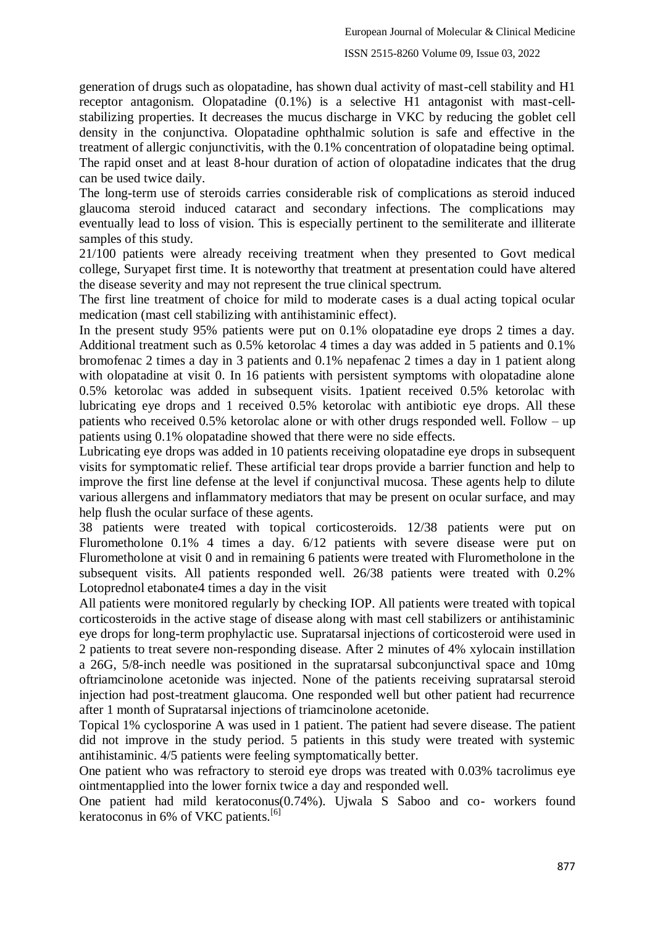generation of drugs such as olopatadine, has shown dual activity of mast-cell stability and H1 receptor antagonism. Olopatadine (0.1%) is a selective H1 antagonist with mast-cellstabilizing properties. It decreases the mucus discharge in VKC by reducing the goblet cell density in the conjunctiva. Olopatadine ophthalmic solution is safe and effective in the treatment of allergic conjunctivitis, with the 0.1% concentration of olopatadine being optimal. The rapid onset and at least 8-hour duration of action of olopatadine indicates that the drug can be used twice daily.

The long-term use of steroids carries considerable risk of complications as steroid induced glaucoma steroid induced cataract and secondary infections. The complications may eventually lead to loss of vision. This is especially pertinent to the semiliterate and illiterate samples of this study.

21/100 patients were already receiving treatment when they presented to Govt medical college, Suryapet first time. It is noteworthy that treatment at presentation could have altered the disease severity and may not represent the true clinical spectrum.

The first line treatment of choice for mild to moderate cases is a dual acting topical ocular medication (mast cell stabilizing with antihistaminic effect).

In the present study 95% patients were put on 0.1% olopatadine eye drops 2 times a day. Additional treatment such as 0.5% ketorolac 4 times a day was added in 5 patients and 0.1% bromofenac 2 times a day in 3 patients and 0.1% nepafenac 2 times a day in 1 patient along with olopatadine at visit 0. In 16 patients with persistent symptoms with olopatadine alone 0.5% ketorolac was added in subsequent visits. 1patient received 0.5% ketorolac with lubricating eye drops and 1 received 0.5% ketorolac with antibiotic eye drops. All these patients who received 0.5% ketorolac alone or with other drugs responded well. Follow – up patients using 0.1% olopatadine showed that there were no side effects.

Lubricating eye drops was added in 10 patients receiving olopatadine eye drops in subsequent visits for symptomatic relief. These artificial tear drops provide a barrier function and help to improve the first line defense at the level if conjunctival mucosa. These agents help to dilute various allergens and inflammatory mediators that may be present on ocular surface, and may help flush the ocular surface of these agents.

38 patients were treated with topical corticosteroids. 12/38 patients were put on Flurometholone 0.1% 4 times a day. 6/12 patients with severe disease were put on Flurometholone at visit 0 and in remaining 6 patients were treated with Flurometholone in the subsequent visits. All patients responded well. 26/38 patients were treated with 0.2% Lotoprednol etabonate4 times a day in the visit

All patients were monitored regularly by checking IOP. All patients were treated with topical corticosteroids in the active stage of disease along with mast cell stabilizers or antihistaminic eye drops for long-term prophylactic use. Supratarsal injections of corticosteroid were used in 2 patients to treat severe non-responding disease. After 2 minutes of 4% xylocain instillation a 26G, 5/8-inch needle was positioned in the supratarsal subconjunctival space and 10mg oftriamcinolone acetonide was injected. None of the patients receiving supratarsal steroid injection had post-treatment glaucoma. One responded well but other patient had recurrence after 1 month of Supratarsal injections of triamcinolone acetonide.

Topical 1% cyclosporine A was used in 1 patient. The patient had severe disease. The patient did not improve in the study period. 5 patients in this study were treated with systemic antihistaminic. 4/5 patients were feeling symptomatically better.

One patient who was refractory to steroid eye drops was treated with 0.03% tacrolimus eye ointmentapplied into the lower fornix twice a day and responded well.

One patient had mild keratoconus(0.74%). Ujwala S Saboo and co- workers found keratoconus in 6% of VKC patients.<sup>[6]</sup>